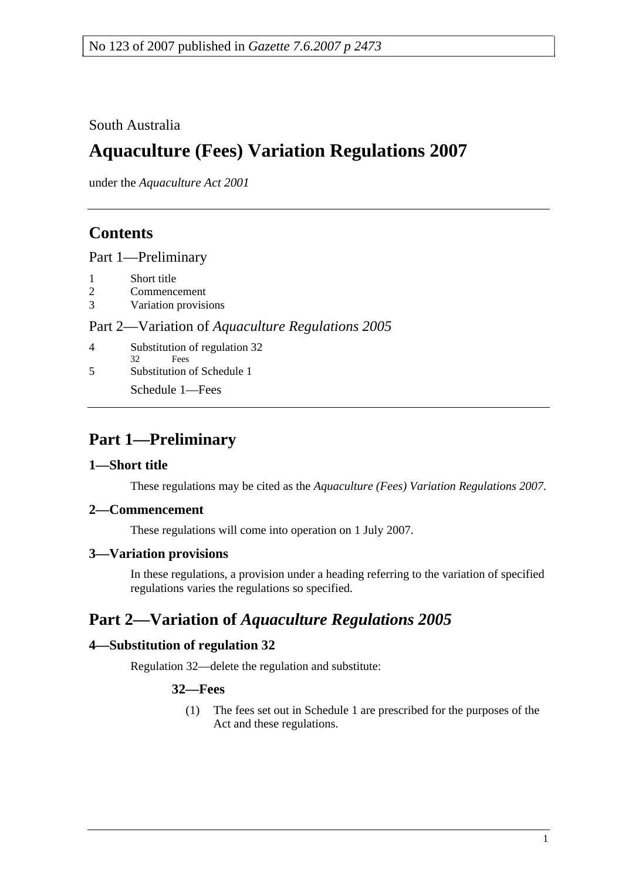## South Australia

# **Aquaculture (Fees) Variation Regulations 2007**

under the *Aquaculture Act 2001*

# **Contents**

Part 1—Preliminary

- 1 Short title
- 2 Commencement
- 3 Variation provisions

### Part 2—Variation of *Aquaculture Regulations 2005*

4 Substitution of regulation 32 32 Fees 5 Substitution of Schedule 1 Schedule 1—Fees

# **Part 1—Preliminary**

### **1—Short title**

These regulations may be cited as the *Aquaculture (Fees) Variation Regulations 2007*.

### **2—Commencement**

These regulations will come into operation on 1 July 2007.

### **3—Variation provisions**

In these regulations, a provision under a heading referring to the variation of specified regulations varies the regulations so specified.

# **Part 2—Variation of** *Aquaculture Regulations 2005*

### **4—Substitution of regulation 32**

Regulation 32—delete the regulation and substitute:

#### **32—Fees**

 (1) The fees set out in Schedule 1 are prescribed for the purposes of the Act and these regulations.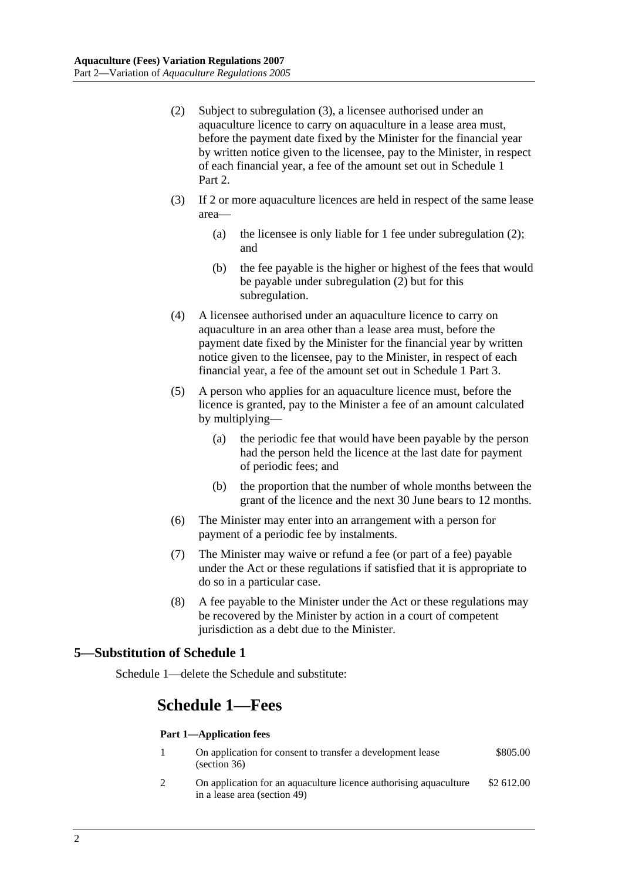- (2) Subject to subregulation (3), a licensee authorised under an aquaculture licence to carry on aquaculture in a lease area must, before the payment date fixed by the Minister for the financial year by written notice given to the licensee, pay to the Minister, in respect of each financial year, a fee of the amount set out in Schedule 1 Part 2.
- (3) If 2 or more aquaculture licences are held in respect of the same lease area—
	- (a) the licensee is only liable for 1 fee under subregulation (2); and
	- (b) the fee payable is the higher or highest of the fees that would be payable under subregulation (2) but for this subregulation.
- (4) A licensee authorised under an aquaculture licence to carry on aquaculture in an area other than a lease area must, before the payment date fixed by the Minister for the financial year by written notice given to the licensee, pay to the Minister, in respect of each financial year, a fee of the amount set out in Schedule 1 Part 3.
- (5) A person who applies for an aquaculture licence must, before the licence is granted, pay to the Minister a fee of an amount calculated by multiplying—
	- (a) the periodic fee that would have been payable by the person had the person held the licence at the last date for payment of periodic fees; and
	- (b) the proportion that the number of whole months between the grant of the licence and the next 30 June bears to 12 months.
- (6) The Minister may enter into an arrangement with a person for payment of a periodic fee by instalments.
- (7) The Minister may waive or refund a fee (or part of a fee) payable under the Act or these regulations if satisfied that it is appropriate to do so in a particular case.
- (8) A fee payable to the Minister under the Act or these regulations may be recovered by the Minister by action in a court of competent jurisdiction as a debt due to the Minister.

### **5—Substitution of Schedule 1**

Schedule 1—delete the Schedule and substitute:

# **Schedule 1—Fees**

#### **Part 1—Application fees**

- 1 On application for consent to transfer a development lease (section 36) \$805.00
- 2 On application for an aquaculture licence authorising aquaculture in a lease area (section 49) \$2 612.00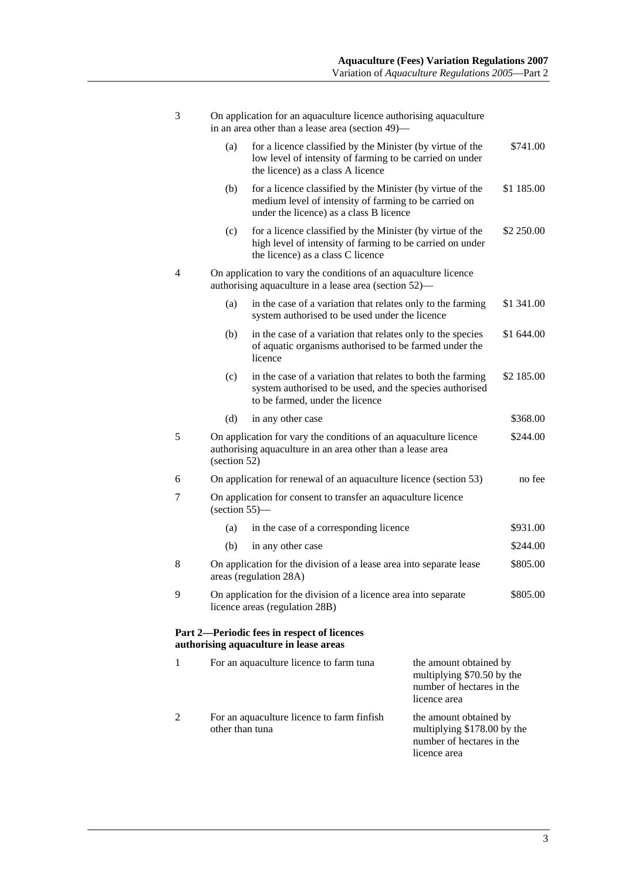| 3              | On application for an aquaculture licence authorising aquaculture<br>in an area other than a lease area (section 49)—                          |                                                                                                                                                                     |          |            |  |  |
|----------------|------------------------------------------------------------------------------------------------------------------------------------------------|---------------------------------------------------------------------------------------------------------------------------------------------------------------------|----------|------------|--|--|
|                | (a)                                                                                                                                            | for a licence classified by the Minister (by virtue of the<br>low level of intensity of farming to be carried on under<br>the licence) as a class A licence         |          | \$741.00   |  |  |
|                | (b)                                                                                                                                            | for a licence classified by the Minister (by virtue of the<br>medium level of intensity of farming to be carried on<br>under the licence) as a class B licence      |          | \$1 185.00 |  |  |
|                | (c)                                                                                                                                            | for a licence classified by the Minister (by virtue of the<br>high level of intensity of farming to be carried on under<br>the licence) as a class C licence        |          | \$2 250.00 |  |  |
| $\overline{4}$ | On application to vary the conditions of an aquaculture licence<br>authorising aquaculture in a lease area (section 52)-                       |                                                                                                                                                                     |          |            |  |  |
|                | (a)                                                                                                                                            | in the case of a variation that relates only to the farming<br>system authorised to be used under the licence                                                       |          | \$1 341.00 |  |  |
|                | (b)<br>in the case of a variation that relates only to the species<br>of aquatic organisms authorised to be farmed under the<br>licence        |                                                                                                                                                                     |          |            |  |  |
|                | (c)                                                                                                                                            | in the case of a variation that relates to both the farming<br>system authorised to be used, and the species authorised<br>to be farmed, under the licence          |          | \$2 185.00 |  |  |
|                | (d)                                                                                                                                            | in any other case                                                                                                                                                   |          | \$368.00   |  |  |
| 5              | On application for vary the conditions of an aquaculture licence<br>authorising aquaculture in an area other than a lease area<br>(section 52) |                                                                                                                                                                     |          | \$244.00   |  |  |
| 6              |                                                                                                                                                | On application for renewal of an aquaculture licence (section 53)<br>no fee                                                                                         |          |            |  |  |
| 7              | On application for consent to transfer an aquaculture licence<br>$\left( \text{section } 55 \right)$ —                                         |                                                                                                                                                                     |          |            |  |  |
|                | in the case of a corresponding licence<br>(a)                                                                                                  |                                                                                                                                                                     |          | \$931.00   |  |  |
|                | (b)                                                                                                                                            | in any other case                                                                                                                                                   |          | \$244.00   |  |  |
| 8              |                                                                                                                                                | On application for the division of a lease area into separate lease<br>areas (regulation 28A)                                                                       |          | \$805.00   |  |  |
| 9              | On application for the division of a licence area into separate<br>licence areas (regulation 28B)                                              |                                                                                                                                                                     | \$805.00 |            |  |  |
|                |                                                                                                                                                | Part 2—Periodic fees in respect of licences<br>authorising aquaculture in lease areas                                                                               |          |            |  |  |
| 1              |                                                                                                                                                | For an aquaculture licence to farm tuna<br>the amount obtained by<br>multiplying \$70.50 by the<br>number of hectares in the<br>licence area                        |          |            |  |  |
| 2              |                                                                                                                                                | For an aquaculture licence to farm finfish<br>the amount obtained by<br>other than tuna<br>multiplying \$178.00 by the<br>number of hectares in the<br>licence area |          |            |  |  |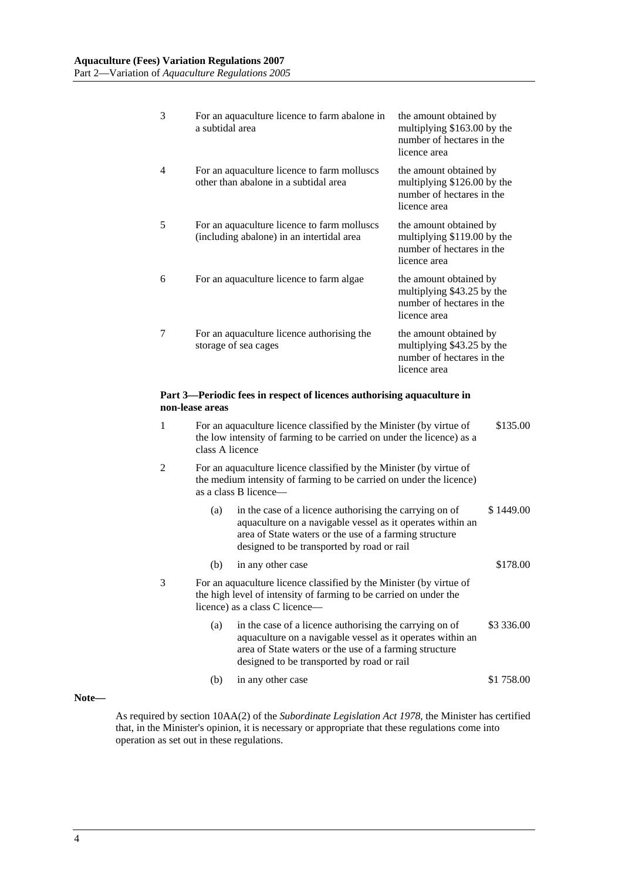| 3 | For an aquaculture licence to farm abalone in<br>a subtidal area                         | the amount obtained by<br>multiplying \$163.00 by the<br>number of hectares in the<br>licence area |
|---|------------------------------------------------------------------------------------------|----------------------------------------------------------------------------------------------------|
| 4 | For an aquaculture licence to farm molluscs<br>other than abalone in a subtidal area     | the amount obtained by<br>multiplying \$126.00 by the<br>number of hectares in the<br>licence area |
| 5 | For an aquaculture licence to farm molluscs<br>(including abalone) in an intertidal area | the amount obtained by<br>multiplying \$119.00 by the<br>number of hectares in the<br>licence area |
| 6 | For an aquaculture licence to farm algae                                                 | the amount obtained by<br>multiplying \$43.25 by the<br>number of hectares in the<br>licence area  |
| 7 | For an aquaculture licence authorising the<br>storage of sea cages                       | the amount obtained by<br>multiplying \$43.25 by the<br>number of hectares in the<br>licence area  |

#### **Part 3—Periodic fees in respect of licences authorising aquaculture in non-lease areas**

|   | $\mathbf{1}$ | For an aquaculture licence classified by the Minister (by virtue of<br>the low intensity of farming to be carried on under the licence) as a<br>class A licence |                                                                                                                                                                                                                               |            |  |
|---|--------------|-----------------------------------------------------------------------------------------------------------------------------------------------------------------|-------------------------------------------------------------------------------------------------------------------------------------------------------------------------------------------------------------------------------|------------|--|
|   | 2            |                                                                                                                                                                 | For an aquaculture licence classified by the Minister (by virtue of<br>the medium intensity of farming to be carried on under the licence)<br>as a class B licence—                                                           |            |  |
|   |              | (a)                                                                                                                                                             | in the case of a licence authorising the carrying on of<br>aquaculture on a navigable vessel as it operates within an<br>area of State waters or the use of a farming structure<br>designed to be transported by road or rail | \$1449.00  |  |
|   |              | (b)                                                                                                                                                             | in any other case                                                                                                                                                                                                             | \$178.00   |  |
| 3 |              |                                                                                                                                                                 | For an aquaculture licence classified by the Minister (by virtue of<br>the high level of intensity of farming to be carried on under the<br>licence) as a class C licence—                                                    |            |  |
|   |              | (a)                                                                                                                                                             | in the case of a licence authorising the carrying on of<br>aquaculture on a navigable vessel as it operates within an<br>area of State waters or the use of a farming structure<br>designed to be transported by road or rail | \$3 336.00 |  |
|   |              | (b)                                                                                                                                                             | in any other case                                                                                                                                                                                                             | \$1758.00  |  |
|   |              |                                                                                                                                                                 |                                                                                                                                                                                                                               |            |  |

**Note—** 

As required by section 10AA(2) of the *Subordinate Legislation Act 1978*, the Minister has certified that, in the Minister's opinion, it is necessary or appropriate that these regulations come into operation as set out in these regulations.